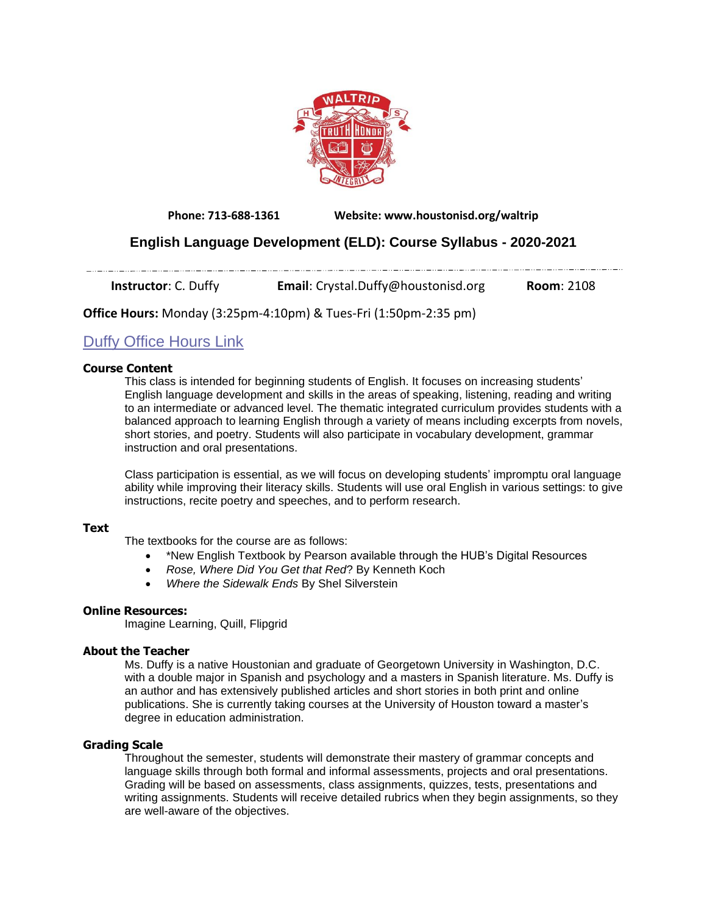

**Phone: 713-688-1361 Website: www.houstonisd.org/waltrip**

## **English Language Development (ELD): Course Syllabus - 2020-2021**

**Instructor**: C. Duffy **Email:** Crystal.Duffy@houstonisd.org **Room**: 2108

**Office Hours:** Monday (3:25pm-4:10pm) & Tues-Fri (1:50pm-2:35 pm)

# Duffy Office [Hours](https://teams.microsoft.com/l/meetup-join/19%3ameeting_ZDczODk1YjQtMWIyYy00N2JlLTliNzQtOWNlYzE1MTkwMWI4%40thread.v2/0?context=%7b%22Tid%22%3a%22f5eb9966-9336-4b33-8895-9982425b13ed%22%2c%22Oid%22%3a%22d2302368-f0eb-49f4-9573-2438f4e1bfd1%22%7d) Link

#### **Course Content**

المستمدد المستحدث والمستند

This class is intended for beginning students of English. It focuses on increasing students' English language development and skills in the areas of speaking, listening, reading and writing to an intermediate or advanced level. The thematic integrated curriculum provides students with a balanced approach to learning English through a variety of means including excerpts from novels, short stories, and poetry. Students will also participate in vocabulary development, grammar instruction and oral presentations.

Class participation is essential, as we will focus on developing students' impromptu oral language ability while improving their literacy skills. Students will use oral English in various settings: to give instructions, recite poetry and speeches, and to perform research.

#### **Text**

The textbooks for the course are as follows:

- \*New English Textbook by Pearson available through the HUB's Digital Resources
- *Rose, Where Did You Get that Red*? By Kenneth Koch
- *Where the Sidewalk Ends* By Shel Silverstein

## **Online Resources:**

Imagine Learning, Quill, Flipgrid

#### **About the Teacher**

Ms. Duffy is a native Houstonian and graduate of Georgetown University in Washington, D.C. with a double major in Spanish and psychology and a masters in Spanish literature. Ms. Duffy is an author and has extensively published articles and short stories in both print and online publications. She is currently taking courses at the University of Houston toward a master's degree in education administration.

## **Grading Scale**

Throughout the semester, students will demonstrate their mastery of grammar concepts and language skills through both formal and informal assessments, projects and oral presentations. Grading will be based on assessments, class assignments, quizzes, tests, presentations and writing assignments. Students will receive detailed rubrics when they begin assignments, so they are well-aware of the objectives.